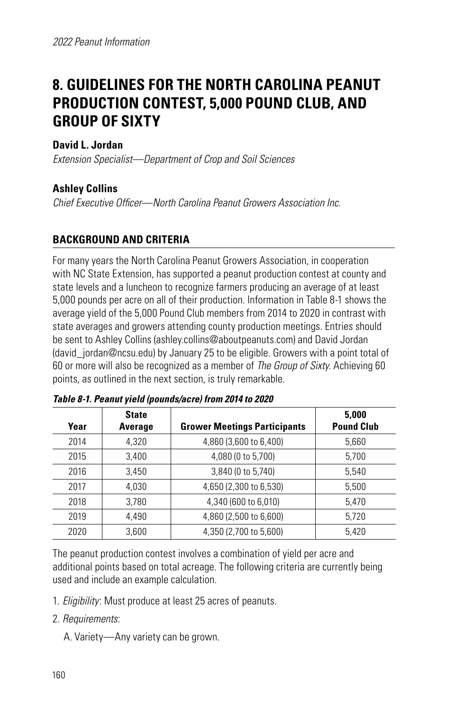# **8. GUIDELINES FOR THE NORTH CAROLINA PEANUT PRODUCTION CONTEST, 5,000 POUND CLUB, AND GROUP OF SIXTY**

## **David L. Jordan**

*Extension Specialist—Department of Crop and Soil Sciences*

## **Ashley Collins**

*Chief Executive Officer—North Carolina Peanut Growers Association Inc.*

## **BACKGROUND AND CRITERIA**

For many years the North Carolina Peanut Growers Association, in cooperation with NC State Extension, has supported a peanut production contest at county and state levels and a luncheon to recognize farmers producing an average of at least 5,000 pounds per acre on all of their production. Information in Table 8-1 shows the average yield of the 5,000 Pound Club members from 2014 to 2020 in contrast with state averages and growers attending county production meetings. Entries should be sent to Ashley Collins (ashley.collins@aboutpeanuts.com) and David Jordan (david\_jordan@ncsu.edu) by January 25 to be eligible. Growers with a point total of 60 or more will also be recognized as a member of *The Group of Sixty*. Achieving 60 points, as outlined in the next section, is truly remarkable.

| Year | <b>State</b><br>Average | <b>Grower Meetings Participants</b> | 5,000<br><b>Pound Club</b> |
|------|-------------------------|-------------------------------------|----------------------------|
| 2014 | 4.320                   | 4,860 (3,600 to 6,400)              | 5,660                      |
| 2015 | 3.400                   | 4,080 (0 to 5,700)                  | 5,700                      |
| 2016 | 3,450                   | 3,840 (0 to 5,740)                  | 5.540                      |
| 2017 | 4.030                   | 4,650 (2,300 to 6,530)              | 5.500                      |
| 2018 | 3,780                   | 4,340 (600 to 6,010)                | 5.470                      |
| 2019 | 4.490                   | 4,860 (2,500 to 6,600)              | 5.720                      |
| 2020 | 3,600                   | 4,350 (2,700 to 5,600)              | 5,420                      |

#### *Table 8-1. Peanut yield (pounds/acre) from 2014 to 2020*

The peanut production contest involves a combination of yield per acre and additional points based on total acreage. The following criteria are currently being used and include an example calculation.

- 1. *Eligibility*: Must produce at least 25 acres of peanuts.
- 2. *Requirements*:
	- A. Variety—Any variety can be grown.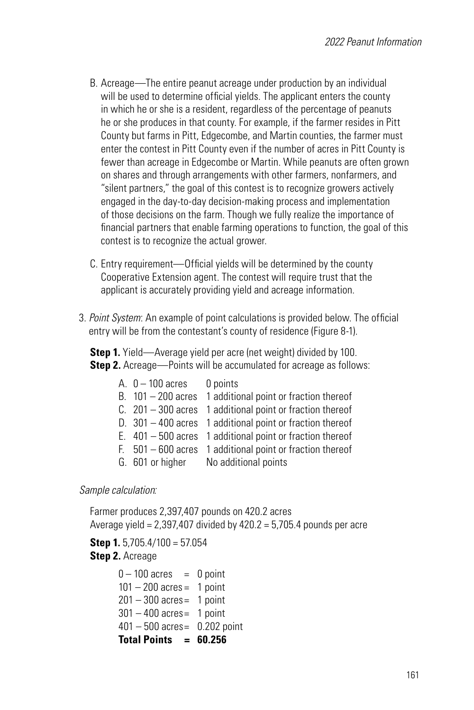- B. Acreage—The entire peanut acreage under production by an individual will be used to determine official yields. The applicant enters the county in which he or she is a resident, regardless of the percentage of peanuts he or she produces in that county. For example, if the farmer resides in Pitt County but farms in Pitt, Edgecombe, and Martin counties, the farmer must enter the contest in Pitt County even if the number of acres in Pitt County is fewer than acreage in Edgecombe or Martin. While peanuts are often grown on shares and through arrangements with other farmers, nonfarmers, and "silent partners," the goal of this contest is to recognize growers actively engaged in the day-to-day decision-making process and implementation of those decisions on the farm. Though we fully realize the importance of financial partners that enable farming operations to function, the goal of this contest is to recognize the actual grower.
- C. Entry requirement—Official yields will be determined by the county Cooperative Extension agent. The contest will require trust that the applicant is accurately providing yield and acreage information.
- 3. *Point System*: An example of point calculations is provided below. The official entry will be from the contestant's county of residence (Figure 8-1).

**Step 1.** Yield—Average yield per acre (net weight) divided by 100. **Step 2.** Acreage—Points will be accumulated for acreage as follows:

| A. $0-100$ acres 0 points |                                                             |
|---------------------------|-------------------------------------------------------------|
|                           | B. $101 - 200$ acres 1 additional point or fraction thereof |
|                           | C. $201 - 300$ acres 1 additional point or fraction thereof |
|                           | D. $301 - 400$ acres 1 additional point or fraction thereof |
|                           | E. $401 - 500$ acres 1 additional point or fraction thereof |
|                           | F. $501 - 600$ acres 1 additional point or fraction thereof |
|                           | G. 601 or higher No additional points                       |

#### *Sample calculation:*

Farmer produces 2,397,407 pounds on 420.2 acres Average yield =  $2,397,407$  divided by  $420.2 = 5,705.4$  pounds per acre

**Step 1.** 5,705.4/100 = 57.054 **Step 2.** Acreage

> $0 - 100$  acres = 0 point  $101 - 200$  acres = 1 point  $201 - 300$  acres = 1 point  $301 - 400$  acres = 1 point 401 – 500 acres= 0.202 point **Total Points = 60.256**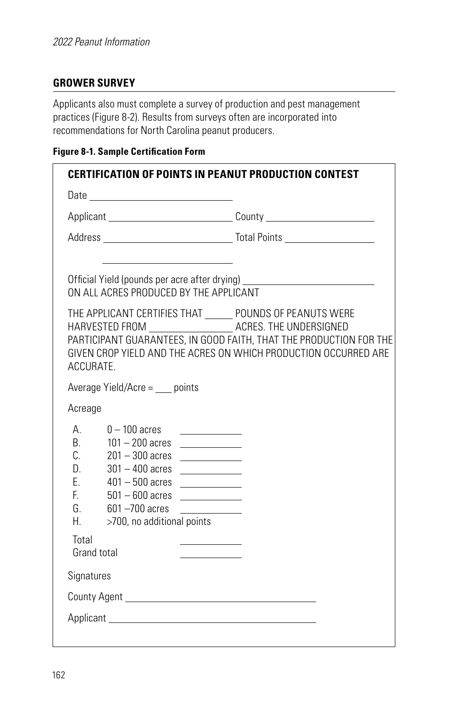## **GROWER SURVEY**

Applicants also must complete a survey of production and pest management practices (Figure 8-2). Results from surveys often are incorporated into recommendations for North Carolina peanut producers.

## **Figure 8-1. Sample Certification Form**

|                                                            |                                                                                                                                                                                                                                                                                                 | <b>CERTIFICATION OF POINTS IN PEANUT PRODUCTION CONTEST</b>                                                                                                                                                                                                             |
|------------------------------------------------------------|-------------------------------------------------------------------------------------------------------------------------------------------------------------------------------------------------------------------------------------------------------------------------------------------------|-------------------------------------------------------------------------------------------------------------------------------------------------------------------------------------------------------------------------------------------------------------------------|
|                                                            |                                                                                                                                                                                                                                                                                                 |                                                                                                                                                                                                                                                                         |
|                                                            |                                                                                                                                                                                                                                                                                                 |                                                                                                                                                                                                                                                                         |
|                                                            |                                                                                                                                                                                                                                                                                                 |                                                                                                                                                                                                                                                                         |
|                                                            | ON ALL ACRES PRODUCED BY THE APPLICANT                                                                                                                                                                                                                                                          | Official Yield (pounds per acre after drying) __________________________________                                                                                                                                                                                        |
| ACCURATE.                                                  |                                                                                                                                                                                                                                                                                                 | THE APPLICANT CERTIFIES THAT ______ POUNDS OF PEANUTS WERE<br>HARVESTED FROM __________________________ ACRES. THE UNDERSIGNED<br>PARTICIPANT GUARANTEES, IN GOOD FAITH, THAT THE PRODUCTION FOR THE<br>GIVEN CROP YIELD AND THE ACRES ON WHICH PRODUCTION OCCURRED ARE |
|                                                            | Average Yield/Acre = $\_\_$ points                                                                                                                                                                                                                                                              |                                                                                                                                                                                                                                                                         |
| Acreage                                                    |                                                                                                                                                                                                                                                                                                 |                                                                                                                                                                                                                                                                         |
| $A_{1}$<br>B.<br>C.<br>D.<br>E.<br>E.<br>G.<br>$H_{\rm c}$ | $0 - 100$ acres<br><u> 1990 - Jan Barbara III, mart</u><br>$101 - 200$ acres<br>$201 - 300$ acres<br>$301 - 400$ acres<br>the control of the control of<br>$401 - 500$ acres<br>$501 - 600$ acres<br><u>and the contract of the contract of</u><br>601 -700 acres<br>>700, no additional points | the control of the con-                                                                                                                                                                                                                                                 |
| Total                                                      | Grand total                                                                                                                                                                                                                                                                                     |                                                                                                                                                                                                                                                                         |
| Signatures                                                 |                                                                                                                                                                                                                                                                                                 |                                                                                                                                                                                                                                                                         |
|                                                            |                                                                                                                                                                                                                                                                                                 |                                                                                                                                                                                                                                                                         |
|                                                            |                                                                                                                                                                                                                                                                                                 |                                                                                                                                                                                                                                                                         |
|                                                            |                                                                                                                                                                                                                                                                                                 |                                                                                                                                                                                                                                                                         |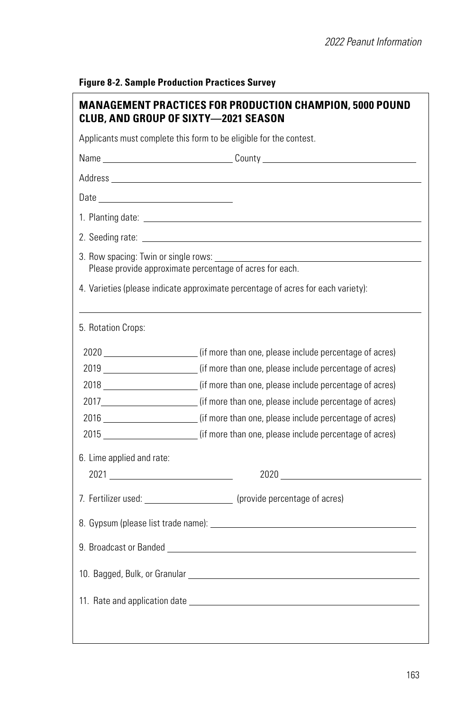|                           | Name _________________________________County ___________________________________                                                                                                                                              |
|---------------------------|-------------------------------------------------------------------------------------------------------------------------------------------------------------------------------------------------------------------------------|
|                           |                                                                                                                                                                                                                               |
|                           |                                                                                                                                                                                                                               |
|                           |                                                                                                                                                                                                                               |
|                           |                                                                                                                                                                                                                               |
|                           | 2. Seeding rate: contract the contract of the contract of the contract of the contract of the contract of the contract of the contract of the contract of the contract of the contract of the contract of the contract of the |
|                           | Please provide approximate percentage of acres for each.                                                                                                                                                                      |
|                           | 4. Varieties (please indicate approximate percentage of acres for each variety):                                                                                                                                              |
| 5. Rotation Crops:        |                                                                                                                                                                                                                               |
|                           | 2020 (if more than one, please include percentage of acres)                                                                                                                                                                   |
|                           | 2019 (if more than one, please include percentage of acres)                                                                                                                                                                   |
|                           | 2018 _______________________(if more than one, please include percentage of acres)                                                                                                                                            |
|                           | 2017_______________________(if more than one, please include percentage of acres)                                                                                                                                             |
|                           | 2016 ________________________(if more than one, please include percentage of acres)                                                                                                                                           |
|                           | 2015 ________________________(if more than one, please include percentage of acres)                                                                                                                                           |
| 6. Lime applied and rate: |                                                                                                                                                                                                                               |
|                           |                                                                                                                                                                                                                               |
|                           | 7. Fertilizer used: _______________________ (provide percentage of acres)                                                                                                                                                     |
|                           |                                                                                                                                                                                                                               |
|                           |                                                                                                                                                                                                                               |
|                           |                                                                                                                                                                                                                               |
|                           |                                                                                                                                                                                                                               |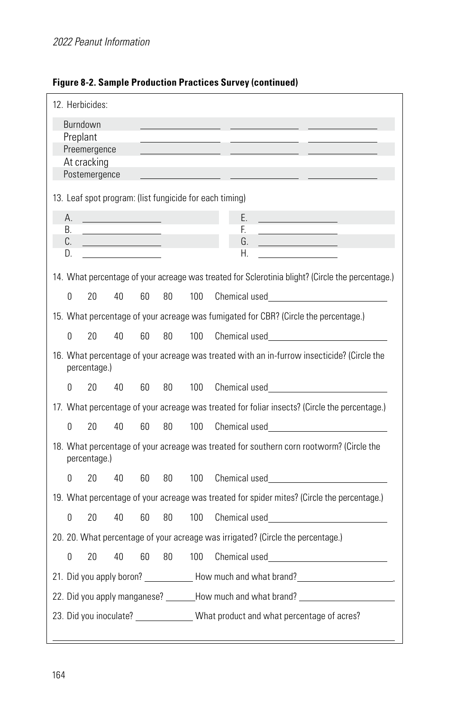| 12. Herbicides:                                                                                            |
|------------------------------------------------------------------------------------------------------------|
| Burndown<br>Preplant                                                                                       |
| Preemergence                                                                                               |
| At cracking                                                                                                |
| Postemergence                                                                                              |
| 13. Leaf spot program: (list fungicide for each timing)                                                    |
| Е.<br>А.                                                                                                   |
| F.<br>В.<br>C.<br>G.                                                                                       |
| Н.<br>D.                                                                                                   |
|                                                                                                            |
| 14. What percentage of your acreage was treated for Sclerotinia blight? (Circle the percentage.)           |
| Chemical used <b>Example 2018</b><br>0<br>20<br>40<br>60<br>80<br>100                                      |
| 15. What percentage of your acreage was fumigated for CBR? (Circle the percentage.)                        |
| 0<br>20<br>40<br>60<br>80<br>100<br>Chemical used <b>Example 2018</b>                                      |
| 16. What percentage of your acreage was treated with an in-furrow insecticide? (Circle the<br>percentage.) |
| Chemical used <b>Example 2018</b><br>0<br>20<br>40<br>60<br>80<br>100                                      |
| 17. What percentage of your acreage was treated for foliar insects? (Circle the percentage.)               |
| 20<br>40<br>0<br>60<br>80<br>100<br>Chemical used <b>Example 2018</b>                                      |
| 18. What percentage of your acreage was treated for southern corn rootworm? (Circle the<br>percentage.)    |
| Chemical used <b>Example 2018</b><br>0<br>20<br>40<br>60<br>80<br>100                                      |
| 19. What percentage of your acreage was treated for spider mites? (Circle the percentage.)                 |
| 0<br>20<br>80<br>40<br>60<br>100                                                                           |
| 20. 20. What percentage of your acreage was irrigated? (Circle the percentage.)                            |
| 0<br>20<br>40<br>60<br>80<br>100                                                                           |
| 21. Did you apply boron? ______________ How much and what brand? ________________                          |
| 22. Did you apply manganese? ________How much and what brand? __________________                           |
| 23. Did you inoculate? _____________What product and what percentage of acres?                             |
|                                                                                                            |